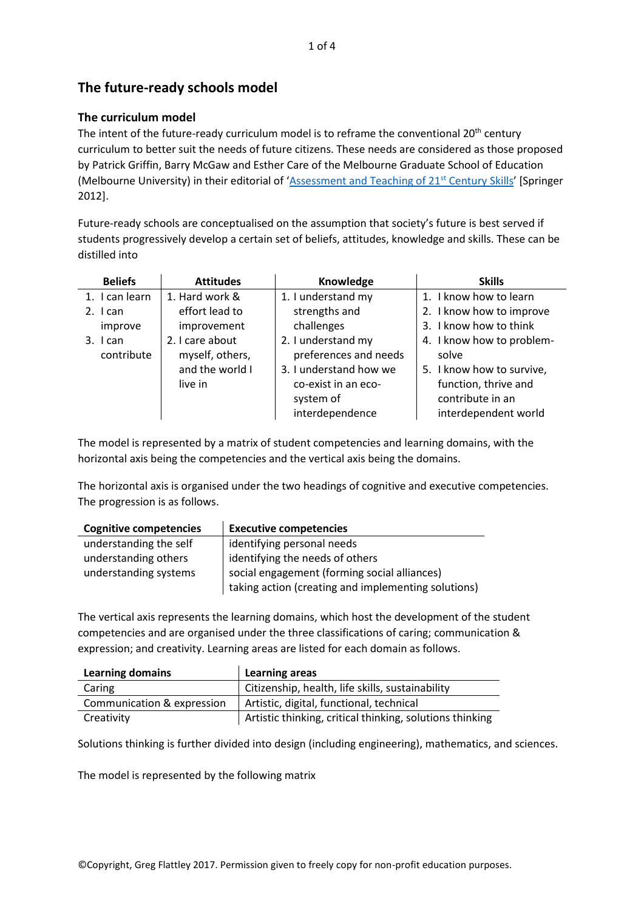# **The future-ready schools model**

### **The curriculum model**

The intent of the future-ready curriculum model is to reframe the conventional 20<sup>th</sup> century curriculum to better suit the needs of future citizens. These needs are considered as those proposed by Patrick Griffin, Barry McGaw and Esther Care of the Melbourne Graduate School of Education (Melbourne University) in their editorial of '[Assessment and Teaching of 21](https://docs.wixstatic.com/ugd/cab42a_2efbadb25e3e423d97ee44dafa7d969e.pdf)<sup>st</sup> Century Skills' [Springer 2012].

Future-ready schools are conceptualised on the assumption that society's future is best served if students progressively develop a certain set of beliefs, attitudes, knowledge and skills. These can be distilled into

| <b>Beliefs</b>        | <b>Attitudes</b>                                                 | Knowledge                                                                                                                    | <b>Skills</b>                                                                                                                       |  |  |
|-----------------------|------------------------------------------------------------------|------------------------------------------------------------------------------------------------------------------------------|-------------------------------------------------------------------------------------------------------------------------------------|--|--|
| 1. I can learn        | 1. Hard work &                                                   | 1. I understand my                                                                                                           | 1. I know how to learn                                                                                                              |  |  |
| $2.$ I can            | effort lead to                                                   | strengths and                                                                                                                | 2. I know how to improve                                                                                                            |  |  |
| improve               | improvement                                                      | challenges                                                                                                                   | 3. I know how to think                                                                                                              |  |  |
| 3. Ican<br>contribute | 2. I care about<br>myself, others,<br>and the world I<br>live in | 2. I understand my<br>preferences and needs<br>3. I understand how we<br>co-exist in an eco-<br>system of<br>interdependence | 4. I know how to problem-<br>solve<br>5. I know how to survive,<br>function, thrive and<br>contribute in an<br>interdependent world |  |  |

The model is represented by a matrix of student competencies and learning domains, with the horizontal axis being the competencies and the vertical axis being the domains.

The horizontal axis is organised under the two headings of cognitive and executive competencies. The progression is as follows.

| <b>Cognitive competencies</b> | <b>Executive competencies</b>                       |
|-------------------------------|-----------------------------------------------------|
| understanding the self        | identifying personal needs                          |
| understanding others          | identifying the needs of others                     |
| understanding systems         | social engagement (forming social alliances)        |
|                               | taking action (creating and implementing solutions) |

The vertical axis represents the learning domains, which host the development of the student competencies and are organised under the three classifications of caring; communication & expression; and creativity. Learning areas are listed for each domain as follows.

| <b>Learning domains</b>    | <b>Learning areas</b>                                    |  |  |  |
|----------------------------|----------------------------------------------------------|--|--|--|
| Caring                     | Citizenship, health, life skills, sustainability         |  |  |  |
| Communication & expression | Artistic, digital, functional, technical                 |  |  |  |
| Creativity                 | Artistic thinking, critical thinking, solutions thinking |  |  |  |

Solutions thinking is further divided into design (including engineering), mathematics, and sciences.

The model is represented by the following matrix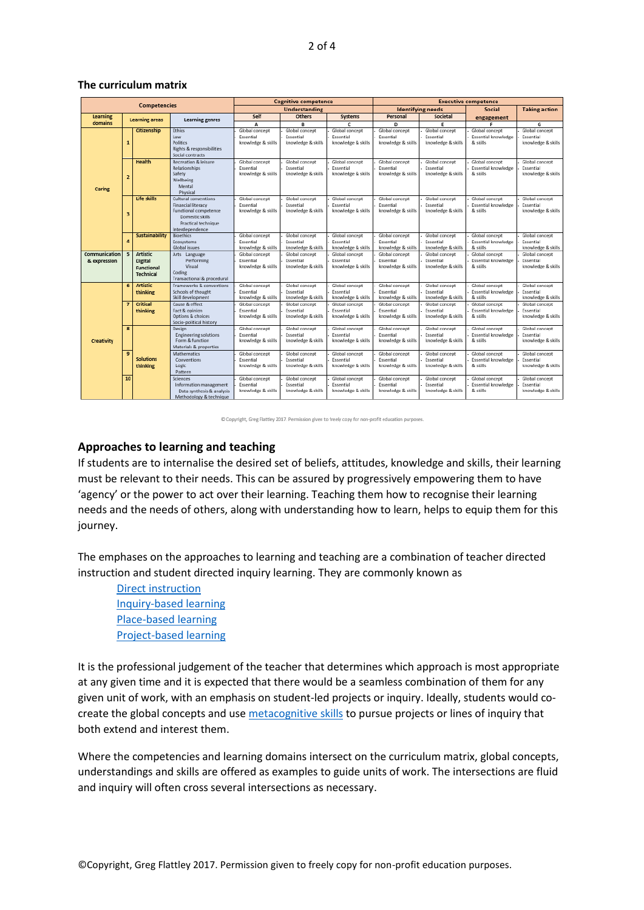#### **The curriculum matrix**

| <b>Competencies</b>           |                       | <b>Cognitive competence</b>                                  |                                                                                                                                         |                                                   | <b>Executive competence</b>                       |                                                   |                                                   |                                                   |                                                   |                                                   |
|-------------------------------|-----------------------|--------------------------------------------------------------|-----------------------------------------------------------------------------------------------------------------------------------------|---------------------------------------------------|---------------------------------------------------|---------------------------------------------------|---------------------------------------------------|---------------------------------------------------|---------------------------------------------------|---------------------------------------------------|
|                               |                       |                                                              | <b>Understanding</b>                                                                                                                    |                                                   |                                                   | <b>Identifying needs</b>                          | <b>Social</b>                                     | <b>Taking action</b>                              |                                                   |                                                   |
| Learning                      | <b>Learning areas</b> |                                                              | Learning genres                                                                                                                         | Self                                              | Others                                            | Systems                                           | Personal                                          | Societal                                          | engagement                                        |                                                   |
| domains                       |                       |                                                              |                                                                                                                                         | A                                                 | B                                                 | c                                                 | D.                                                | E                                                 |                                                   | G                                                 |
|                               | $\mathbf{1}$          | Citizenship                                                  | <b>Ethics</b><br>Law<br>Politics<br>Rights & responsibilities<br>Social contracts                                                       | Global concept<br>Essential<br>knowledge & skills | Global concept<br>Essential<br>knowledge & skills | Global concept<br>Essential<br>knowledge & skills | Global concept<br>Essential<br>knowledge & skills | Global concept<br>Essential<br>knowledge & skills | Global concept<br>Essential knowledge<br>& skills | Global concept<br>Essential<br>knowledge & skills |
| Caring                        | $\overline{z}$        | Health                                                       | Recreation & leisure<br>Relationships<br>Safety<br>Wellbeing<br>Mental<br>Physical                                                      | Global concept<br>Essential<br>knowledge & skills | Global concept<br>Essential<br>knowledge & skills | Global concept<br>Essential<br>knowledge & skills | Global concept<br>Essential<br>knowledge & skills | Global concept<br>Essential<br>knowledge & skills | Global concept<br>Essential knowledge<br>& skills | Global concept<br>Essential<br>knowledge & skills |
|                               | з                     | Life skills                                                  | Cultural conventions<br><b>Financial literacy</b><br>Functional competence<br>Domestic skills<br>Practical technique<br>Interdependence | Global concept<br>Essential<br>knowledge & skills | Global concept<br>Essential<br>knowledge & skills | Global concept<br>Essential<br>knowledge & skills | Global concept<br>Essential<br>knowledge & skills | Global concept<br>Essential<br>knowledge & skills | Global concept<br>Essential knowledge<br>& skills | Global concept<br>Essential<br>knowledge & skills |
|                               | 4                     | Sustainability                                               | <b>Bioethics</b><br>Ecosystems<br>Global issues                                                                                         | Global concept<br>Essential<br>knowledge & skills | Global concept<br>Essential<br>knowledge & skills | Global concept<br>Essential<br>knowledge & skills | Global concept<br>Essential<br>knowledge & skills | Global concept<br>Essential<br>knowledge & skills | Global concept<br>Essential knowledge<br>& skills | Global concept<br>Essential<br>knowledge & skills |
| Communication<br>& expression | 5                     | Artistic<br><b>Digital</b><br>Functional<br><b>Technical</b> | Arts Language<br>Performing<br>Visual<br>Coding<br>Transactional & procedural                                                           | Global concept<br>Essential<br>knowledge & skills | Global concept<br>Essential<br>knowledge & skills | Global concept<br>Essential<br>knowledge & skills | Global concept<br>Essential<br>knowledge & skills | Global concept<br>Essential<br>knowledge & skills | Global concept<br>Essential knowledge<br>& skills | Global concept<br>Essential<br>knowledge & skills |
|                               | 6                     | <b>Artistic</b><br>thinking                                  | Frameworks & conventions<br>Schools of thought<br>Skill development                                                                     | Global concept<br>Essential<br>knowledge & skills | Global concept<br>Essential<br>knowledge & skills | Global concept<br>Essential<br>knowledge & skills | Global concept<br>Essential<br>knowledge & skills | Global concept<br>Essential<br>knowledge & skills | Global concept<br>Essential knowledge<br>& skills | Global concept<br>Essential<br>knowledge & skills |
|                               |                       | Critical<br>thinking                                         | Cause & effect<br>Fact & opinion<br>Options & choices<br>Socio-political history                                                        | Global concept<br>Essential<br>knowledge & skills | Global concept<br>Essential<br>knowledge & skills | Global concept<br>Essential<br>knowledge & skills | Global concept<br>Essential<br>knowledge & skills | Global concept<br>Essential<br>knowledge & skills | Global concept<br>Essential knowledge<br>& skills | Global concept<br>Essential<br>knowledge & skills |
| Creativity                    | 8                     |                                                              | Design<br>Engineering solutions<br>Form & function<br>Materials & properties                                                            | Global concept<br>Essential<br>knowledge & skills | Global concept<br>Essential<br>knowledge & skills | Global concept<br>Essential<br>knowledge & skills | Global concept<br>Essential<br>knowledge & skills | Global concept<br>Essential<br>knowledge & skills | Global concept<br>Essential knowledge<br>& skills | Global concept<br>Essential<br>knowledge & skills |
|                               | $\overline{9}$        | <b>Solutions</b><br>thinking                                 | <b>Mathematics</b><br>Conventions<br>Logic<br>Pattern                                                                                   | Global concept<br>Essential<br>knowledge & skills | Global concept<br>Essential<br>knowledge & skills | Global concept<br>Essential<br>knowledge & skills | Global concept<br>Essential<br>knowledge & skills | Global concept<br>Essential<br>knowledge & skills | Global concept<br>Essential knowledge<br>& skills | Global concept<br>Essential<br>knowledge & skills |
|                               | 10                    |                                                              | <b>Sciences</b><br>Information management<br>Data synthesis & analysis<br>Methodology & technique                                       | Global concept<br>Essential<br>knowledge & skills | Global concept<br>Essential<br>knowledge & skills | Global concept<br>Essential<br>knowledge & skills | Global concept<br>Essential<br>knowledge & skills | Global concept<br>Essential<br>knowledge & skills | Global concept<br>Essential knowledge<br>& skills | Global concept<br>Essential<br>knowledge & skills |

Copyright, Greg Flattley 2017. Permission given to freely copy for non-profit education purposes.

### **Approaches to learning and teaching**

If students are to internalise the desired set of beliefs, attitudes, knowledge and skills, their learning must be relevant to their needs. This can be assured by progressively empowering them to have 'agency' or the power to act over their learning. Teaching them how to recognise their learning needs and the needs of others, along with understanding how to learn, helps to equip them for this journey.

The emphases on the approaches to learning and teaching are a combination of teacher directed instruction and student directed inquiry learning. They are commonly known as

[Direct instruction](https://www.principalmanual.com/teaching) [Inquiry-based learning](https://www.principalmanual.com/inquiry-1) [Place-based learning](https://www.principalmanual.com/place-based-ed) [Project-based learning](https://www.pblworks.org/what-is-pbl)

It is the professional judgement of the teacher that determines which approach is most appropriate at any given time and it is expected that there would be a seamless combination of them for any given unit of work, with an emphasis on student-led projects or inquiry. Ideally, students would cocreate the global concepts and use [metacognitive skills](https://www.principalmanual.com/metacognition) to pursue projects or lines of inquiry that both extend and interest them.

Where the competencies and learning domains intersect on the curriculum matrix, global concepts, understandings and skills are offered as examples to guide units of work. The intersections are fluid and inquiry will often cross several intersections as necessary.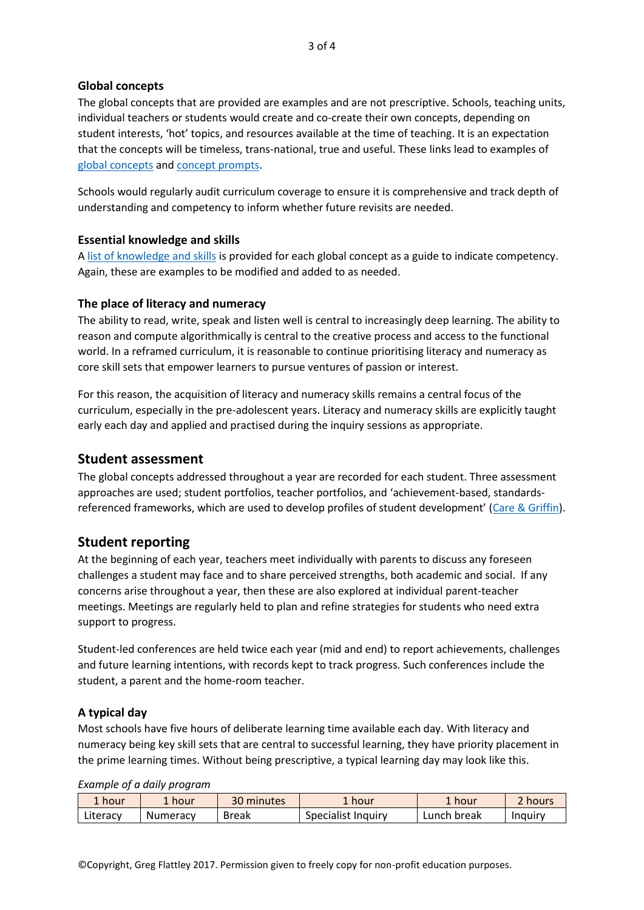### **Global concepts**

The global concepts that are provided are examples and are not prescriptive. Schools, teaching units, individual teachers or students would create and co-create their own concepts, depending on student interests, 'hot' topics, and resources available at the time of teaching. It is an expectation that the concepts will be timeless, trans-national, true and useful. These links lead to examples of [global concepts](https://docs.wixstatic.com/ugd/cab42a_585f047eeb554302914551c24a9c2b56.pdf) an[d concept prompts.](https://docs.wixstatic.com/ugd/cab42a_4be1305cbff2496f80f6c6d99a9aa858.pdf)

Schools would regularly audit curriculum coverage to ensure it is comprehensive and track depth of understanding and competency to inform whether future revisits are needed.

### **Essential knowledge and skills**

A [list of knowledge and skills](https://docs.wixstatic.com/ugd/cab42a_4638f522a14b411288bedfa7d290769a.pdf) is provided for each global concept as a guide to indicate competency. Again, these are examples to be modified and added to as needed.

### **The place of literacy and numeracy**

The ability to read, write, speak and listen well is central to increasingly deep learning. The ability to reason and compute algorithmically is central to the creative process and access to the functional world. In a reframed curriculum, it is reasonable to continue prioritising literacy and numeracy as core skill sets that empower learners to pursue ventures of passion or interest.

For this reason, the acquisition of literacy and numeracy skills remains a central focus of the curriculum, especially in the pre-adolescent years. Literacy and numeracy skills are explicitly taught early each day and applied and practised during the inquiry sessions as appropriate.

### **Student assessment**

The global concepts addressed throughout a year are recorded for each student. Three assessment approaches are used; student portfolios, teacher portfolios, and 'achievement-based, standardsreferenced frameworks, which are used to develop profiles of student development' ([Care & Griffin\)](https://docs.wixstatic.com/ugd/cab42a_c20d6ec199ae46738e518f59b8640484.pdf).

## **Student reporting**

At the beginning of each year, teachers meet individually with parents to discuss any foreseen challenges a student may face and to share perceived strengths, both academic and social. If any concerns arise throughout a year, then these are also explored at individual parent-teacher meetings. Meetings are regularly held to plan and refine strategies for students who need extra support to progress.

Student-led conferences are held twice each year (mid and end) to report achievements, challenges and future learning intentions, with records kept to track progress. Such conferences include the student, a parent and the home-room teacher.

### **A typical day**

Most schools have five hours of deliberate learning time available each day. With literacy and numeracy being key skill sets that are central to successful learning, they have priority placement in the prime learning times. Without being prescriptive, a typical learning day may look like this.

*Example of a daily program*

| 1 hour   | . hour   | 30 minutes   | ∡ hour∶            | hour        | 2 hours |
|----------|----------|--------------|--------------------|-------------|---------|
| Literacy | Numeracy | <b>Break</b> | Specialist Inquiry | Lunch break | Induiry |

©Copyright, Greg Flattley 2017. Permission given to freely copy for non-profit education purposes.